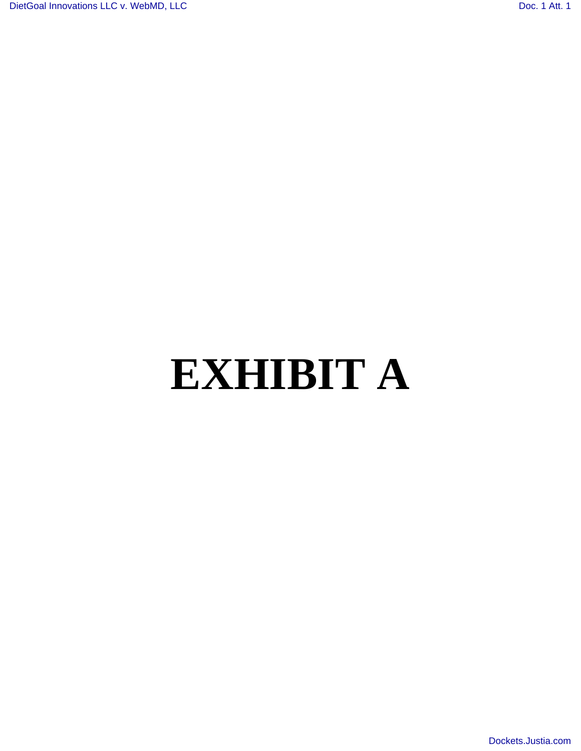# **EXHIBIT A**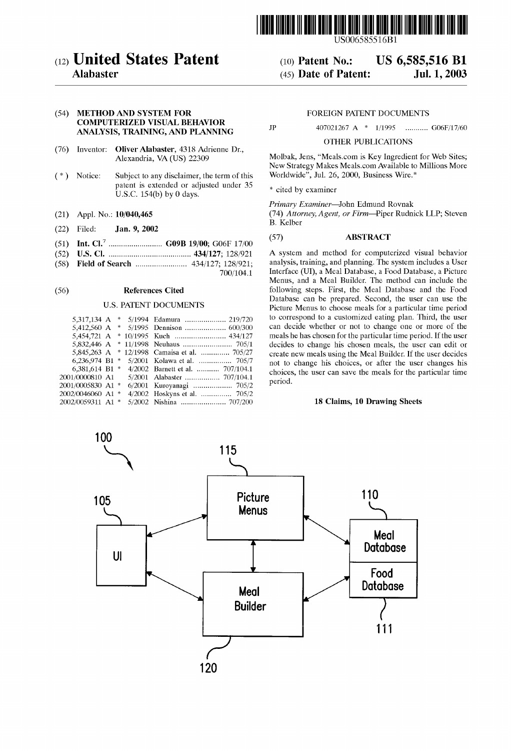

US006585516Bl

#### (10) Patent No.: (45) Date of Patent: US 6,585,516 Bl Jui. 1,2003

# (12) United States Patent

# Alabaster

## (54) METHOD AND SYSTEM FOR COMPUTERIZED VISUAL BEHAVIOR ANALYSIS, TRAINING, AND PLANNING

- (76) Inventor: Oliver Alabaster, 4318 Adrienne Dr., Alexandria, VA (US) 22309
- ( \*) Notice: Subject to any disclaimer, the term of this patent is extended or adjusted under 35 U.S.c. 154(b) by 0 days.
- (21) Appl. No.: 10/040,465
- (22) Filed: Jan. 9, 2002
- (51) Int. CI? .......................... G09B 19/00; G06F 17/00
- (52) U.S. CI. ........................................ 434/127; 128/921
- (58) Field of Search ......................... 434/127; 128/921;
	- 700/104.1

#### (56) References Cited

#### U.S. PATENT DOCUMENTS

| 5.317.134 A       |  | * 5/1994 Edamura  219/720        |
|-------------------|--|----------------------------------|
| 5.412.560 A       |  |                                  |
| 5.454.721 A       |  | * 10/1995 Kuch  434/127          |
| 5,832,446 A       |  |                                  |
| 5,845,263 A       |  | * 12/1998 Camaisa et al.  705/27 |
| 6.236.974 B1      |  | 5/2001 Kolawa et al.  705/7      |
| 6,381,614 B1 *    |  | 4/2002 Barnett et al.  707/104.1 |
| 2001/0000810 A1   |  | 5/2001 Alabaster  707/104.1      |
| 2001/0005830 A1 * |  | 6/2001 Kuroyanagi  705/2         |
| 2002/0046060 A1 * |  | 4/2002 Hoskyns et al.  705/2     |
| 2002/0059311 A1 * |  |                                  |

#### FOREIGN PATENT DOCUMENTS

JP 407021267 A \* 1/1995 ........... G06F/17/60

#### OTHER PUBLICATIONS

Molbak, Jens, "Meals.com is Key Ingredient for Web Sites; New Strategy Makes Meals.com Available to Millions More Worldwide", Jul. 26, 2000, Business Wire. \*

\* cited by examiner

*Primary Examiner-John* Edmund Rovnak

*(74) Attorney, Agent, or Firm-Piper* Rudnick LLP; Steven B. Kelber

#### (57) ABSTRACT

A system and method for computerized visual behavior analysis, training, and planning. The system includes a User Interface (UI), a Meal Database, a Food Database, a Picture Menus, and a Meal Builder. The method can include the following steps. First, the Meal Database and the Food Database can be prepared. Second, the user can use the Picture Menus to choose meals for a particular time period to correspond to a customized eating plan. Third, the user can decide whether or not to change one or more of the meals he has chosen for the particular time period. If the user decides to change his chosen meals, the user can edit or create new meals using the Meal Builder. If the user decides not to change his choices, or after the user changes his choices, the user can save the meals for the particular time period.

#### 18 Claims, 10 Drawing Sheets

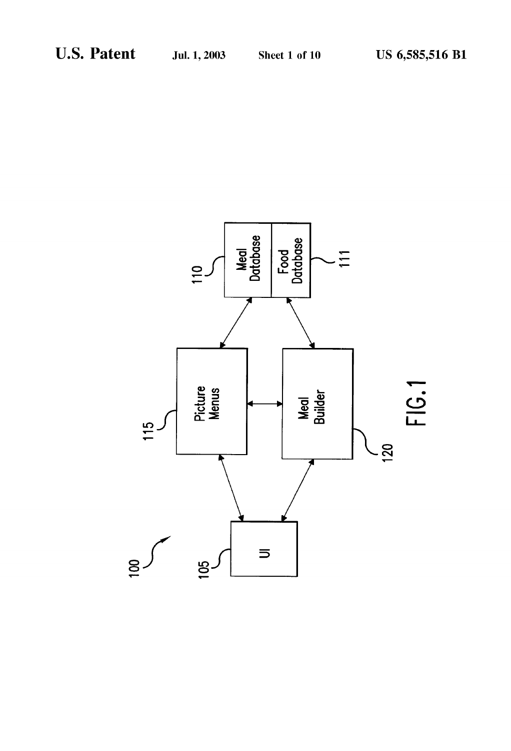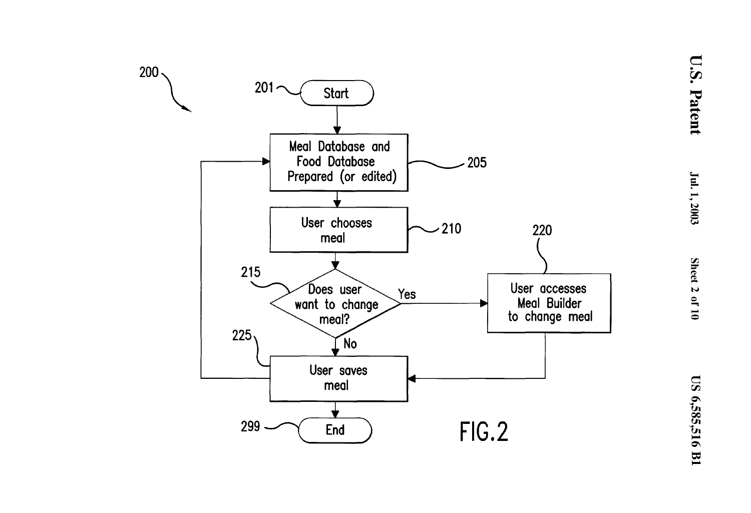

**U.S. Patent**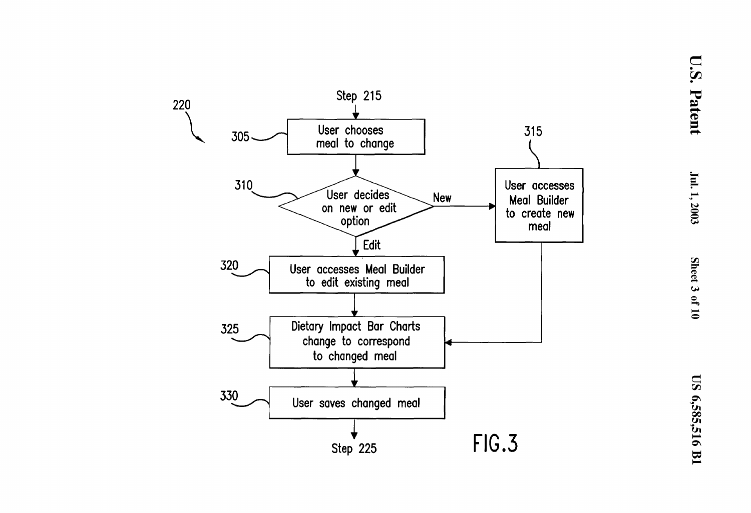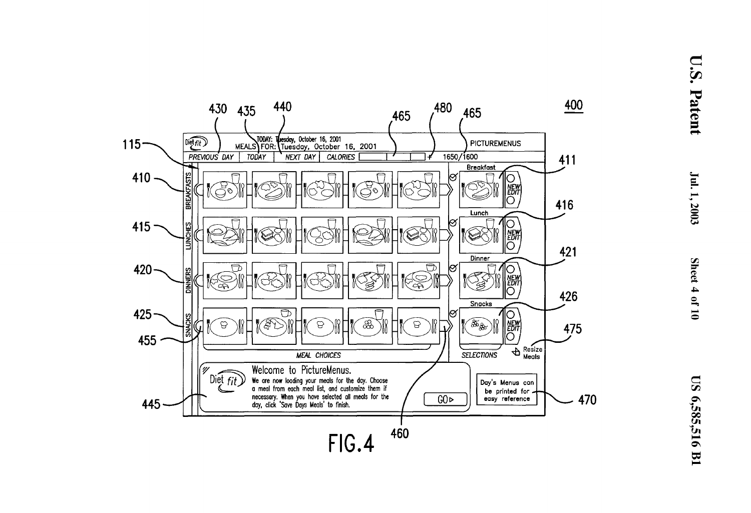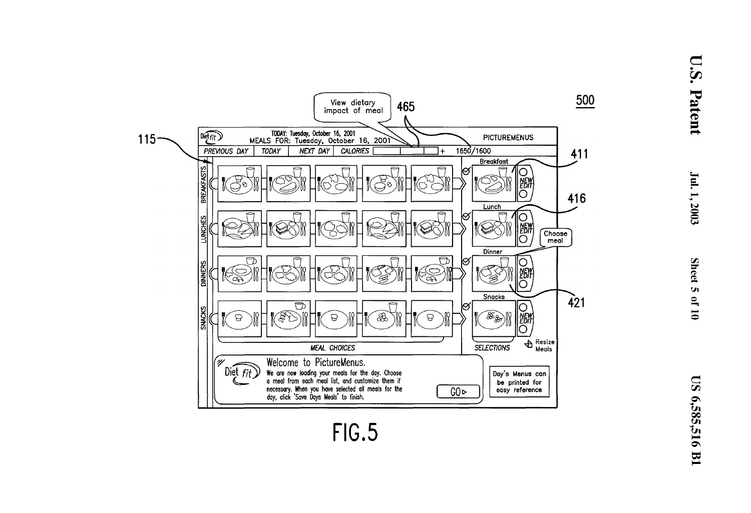

U.S. Patent

Jul. 1, 2003

Sheet 5 of 10

FIG.5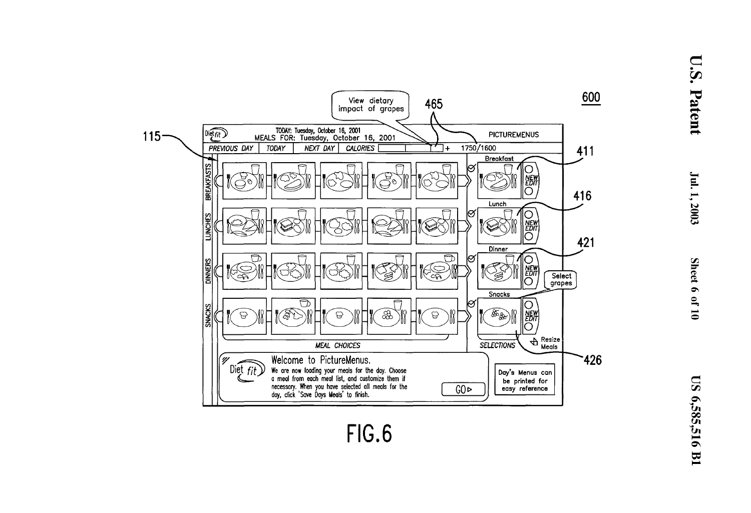

 $\bf \Xi$  $\overline{\mathbf{S}}$ 

 $\mathbf{\nabla}$ 

atent

 $\mathbf{I}$ 

 $\frac{1}{2003}$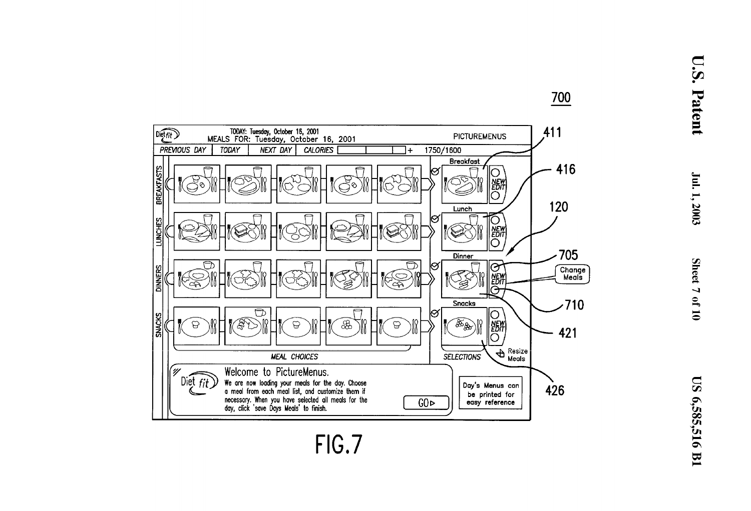

 $\bf \Xi$  $\ddot{•}$  $\overline{\nabla}$ atent

**700** 

—<br>— ~  $.2003$ 

**FIG.7**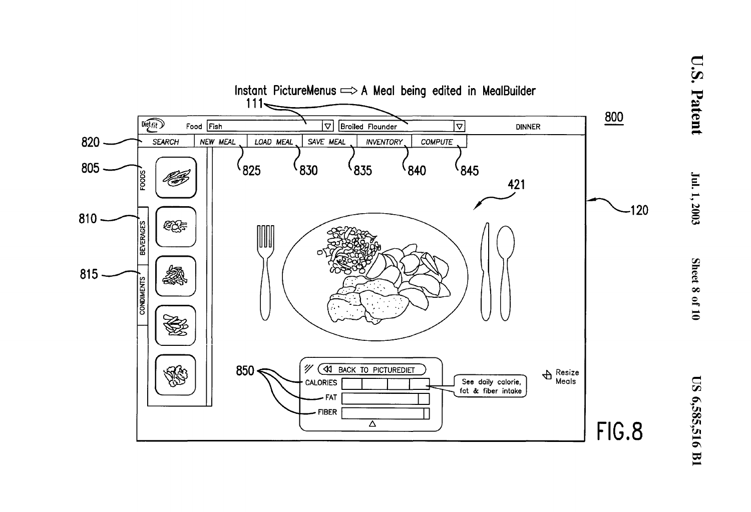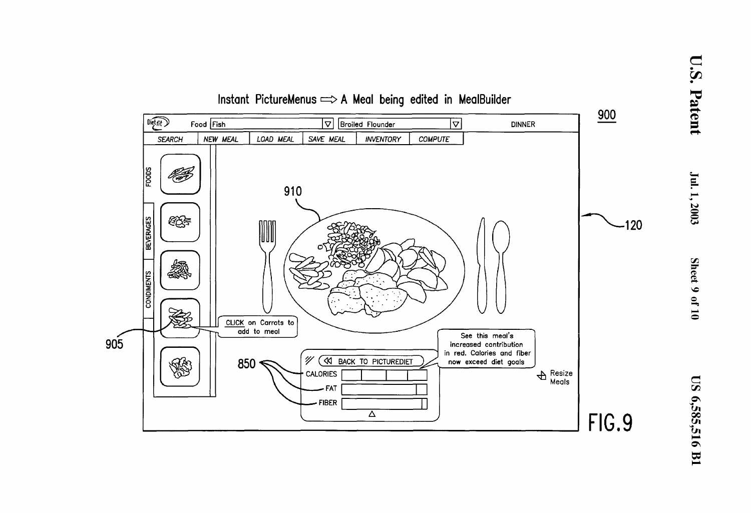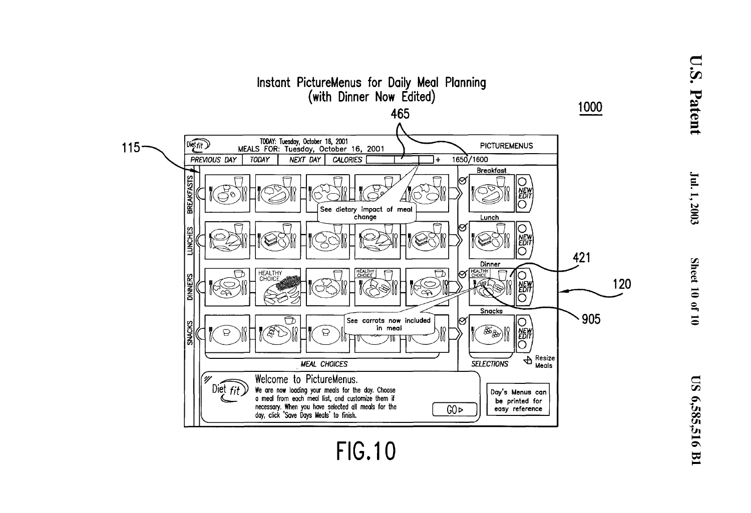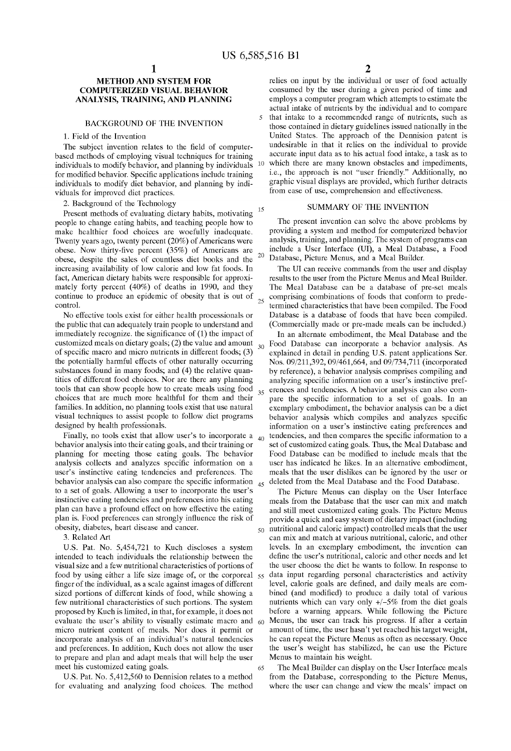### METHOD AND SYSTEM FOR COMPUTERIZED VISUAL BEHAVIOR ANALYSIS, TRAINING, AND PLANNING

#### BACKGROUND OF THE INVENTION

1. Field of the Invention

The subject invention relates to the field of computerbased methods of employing visual techniques for training individuals to modify behavior, and planning by individuals for modified behavior. Specific applications include training individuals to modify diet behavior, and planning by individuals for improved diet practices.

2. Background of the Technology

Present methods of evaluating dietary habits, motivating people to change eating habits, and teaching people how to make healthier food choices are woefully inadequate. Twenty years ago, twenty percent (20%) of Americans were obese. Now thirty-five percent  $(35%)$  of Americans are obese, despite the sales of countless diet books and the <sup>20</sup> increasing availability of low calorie and low fat foods. In fact, American dietary habits were responsible for approximately forty percent (40%) of deaths in 1990, and they continue to produce an epidemic of obesity that is out of  $control.$  25

the public that can adequately train people to understand and immediately recognize. the significance of (1) the impact of customized meals on dietary goals; (2) the value and amount of specific macro and micro nutrients in different foods; (3) the potentially harmful effects of other naturally occurring substances found in many foods; and (4) the relative quantities of different food choices. Nor are there any planning tools that can show people how to create meals using food choices that are much more healthful for them and their families. In addition, no planning tools exist that use natural visual techniques to assist people to follow diet programs designed by health professionals.

Finally, no tools exist that allow user's to incorporate a behavior analysis into their eating goals, and their training or planning for meeting those eating goals. The behavior analysis collects and analyzes specific information on a user's instinctive eating tendencies and preferences. The behavior analysis can also compare the specific information  $_{45}$  deleted from the Meal Database and the Food Database. to a set of goals. Allowing a user to incorporate the user's instinctive eating tendencies and preferences into his eating plan can have a profound effect on how effective the eating plan is. Food preferences can strongly influence the risk of obesity, diabetes, heart disease and cancer.

3. Related Art

U.S. Pat. No. 5,454,721 to Kuch discloses a system intended to teach individuals the relationship between the visual size and a few nutritional characteristics of portions of food by using either a life size image of, or the corporeal finger of the individual, as a scale against images of different sized portions of different kinds of food, while showing a few nutritional characteristics of such portions. The system proposed by Kuch is limited, in that, for example, it does not evaluate the user's ability to visually estimate macro and micro nutrient content of meals. Nor does it permit or incorporate analysis of an individual's natural tendencies and preferences. In addition, Kuch does not allow the user to prepare and plan and adapt meals that will help the user meet his customized eating goals.

U.S. Pat. No. 5,412,560 to Dennision relates to a method for evaluating and analyzing food choices. The method

relies on input by the individual or user of food actually consumed by the user during a given period of time and employs a computer program which attempts to estimate the actual intake of nutrients by the individual and to compare that intake to a recommended range of nutrients, such as those contained in dietary guidelines issued nationally in the United States. The approach of the Dennision patent is undesirable in that it relies on the individual to provide accurate input data as to his actual food intake, a task as to 10 which there are many known obstacles and impediments, i.e., the approach is not "user friendly." Additionally, no graphic visual displays are provided, which further detracts from ease of use, comprehension and effectiveness.

# 15 SUMMARY OF THE INVENTION

The present invention can solve the above problems by providing a system and method for computerized behavior analysis, training, and planning. The system of programs can include a User Interface (UI), a Meal Database, a Food Database, Picture Menus, and a Meal Builder.

The UI can receive commands from the user and display results to the user from the Picture Menus and Meal Builder. The Meal Database can be a database of pre-set meals comprising combinations of foods that conform to predetermined characteristics that have been compiled. The Food No effective tools exist for either health processionals or Database is a database of foods that have been compiled. (Commercially made or pre-made meals can be included.)

> In an alternate embodiment, the Meal Database and the 30 Food Database can incorporate a behavior analysis. As explained in detail in pending U.S. patent applications Ser. Nos. 09/211,392, 09/461,664, and *091734,711* (incorporated by reference), a behavior analysis comprises compiling and analyzing specific information on a user's instinctive pref-<sub>35</sub> erences and tendencies. A behavior analysis can also compare the specific information to a set of goals. In an exemplary embodiment, the behavior analysis can be a diet behavior analysis which compiles and analyzes specific information on a user's instinctive eating preferences and <sub>40</sub> tendencies, and then compares the specific information to a set of customized eating goals. Thus, the Meal Database and Food Database can be modified to include meals that the user has indicated he likes. In an alternative embodiment, meals that the user dislikes can be ignored by the user or

> The Picture Menus can display on the User Interface meals from the Database that the user can mix and match and still meet customized eating goals. The Picture Menus provide a quick and easy system of dietary impact (including 50 nutritional and caloric impact) controlled meals that the user can mix and match at various nutritional, caloric, and other levels. In an exemplary embodiment, the invention can define the user's nutritional, caloric and other needs and let the user choose the diet he wants to follow. In response to data input regarding personal characteristics and activity level, calorie goals are defined, and daily meals are combined (and modified) to produce a daily total of various nutrients which can vary only +/-5% from the diet goals before a warning appears. While following the Picture 60 Menus, the user can track his progress. If after a certain amount of time, the user hasn't yet reached his target weight, he can repeat the Picture Menus as often as necessary. Once the user's weight has stabilized, he can use the Picture Menus to maintain his weight.

> 65 The Meal Builder can display on the User Interface meals from the Database, corresponding to the Picture Menus, where the user can change and view the meals' impact on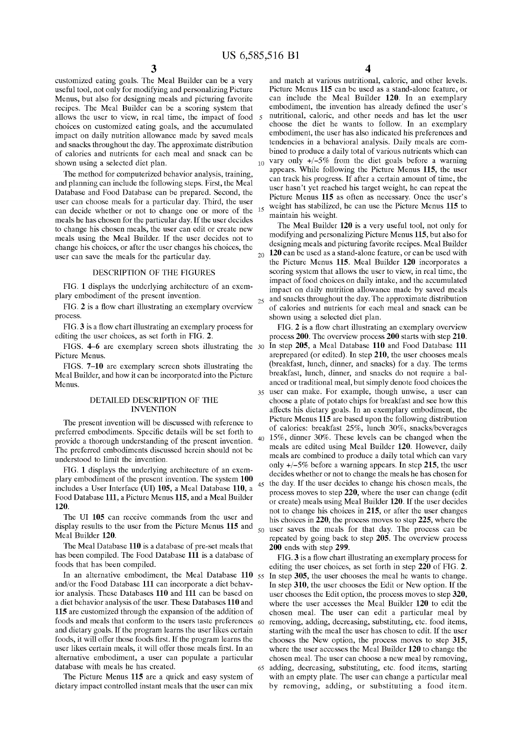customized eating goals. The Meal Builder can be a very useful tool, not only for modifying and personalizing Picture Menus, but also for designing meals and picturing favorite recipes. The Meal Builder can be a scoring system that allows the user to view, in real time, the impact of food choices on customized eating goals, and the accumulated impact on daily nutrition allowance made by saved meals and snacks throughout the day. The approximate distribution bined to produce a daily total of various nutrients which can of calories and nutrients for each meal and snack can be shown using a selected diet plan.

The method for computerized behavior analysis, training, and planning can include the following steps. First, the Meal Database and Food Database can be prepared. Second, the user can choose meals for a particular day. Third, the user can decide whether or not to change one or more of the meals he has chosen for the particular day. If the user decides to change his chosen meals, the user can edit or create new meals using the Meal Builder. If the user decides not to change his choices, or after the user changes his choices, the user can save the meals for the particular day.

#### DESCRIPTION OF THE FIGURES

FIG. 1 displays the underlying architecture of an exemplary embodiment of the present invention.

FIG. 2 is a flow chart illustrating an exemplary overview process.

FIG. 3 is a flow chart illustrating an exemplary process for editing the user choices, as set forth in FIG. 2.

FIGS. 4-6 are exemplary screen shots illustrating the 30 Picture Menus.

FIGS. 7-10 are exemplary screen shots illustrating the Meal Builder, and how it can be incorporated into the Picture Menus.

#### DETAILED DESCRIPTION OF THE INVENTION

The present invention will be discussed with reference to preferred embodiments. Specific details will be set forth to provide a thorough understanding of the present invention. The preferred embodiments discussed herein should not be understood to limit the invention.

FIG. 1 displays the underlying architecture of an exemplary embodiment of the present invention. The system 100 includes a User Interface (UI) 105, a Meal Database 110, a Food Database 111, a Picture Menus 115, and a Meal Builder 120.

display results to the user from the Picture Menus 115 and Meal Builder 120.

The Meal Database 110 is a database of pre-set meals that has been compiled. The Food Database 111 is a database of foods that has been compiled.

In an alternative embodiment, the Meal Database  $110_{55}$ and/or the Food Database 111 can incorporate a diet behavior analysis. These Databases 110 and 111 can be based on a diet behavior analysis of the user. These Databases 110 and 115 are customized through the expansion of the addition of foods and meals that conform to the users taste preferences  $60$ and dietary goals. If the program learns the user likes certain foods, it will offer those foods first. If the program learns the user likes certain meals, it will offer those meals first. In an alternative embodiment, a user can populate a particular

The Picture Menus 115 are a quick and easy system of dietary impact controlled instant meals that the user can mix

 $3 \hspace{1.5cm} 4$ 

and match at various nutritional, caloric, and other levels. Picture Menus 115 can be used as a stand-alone feature, or can include the Meal Builder 120. In an exemplary embodiment, the invention has already defined the user's nutritional, caloric, and other needs and has let the user choose the diet he wants to follow. In an exemplary embodiment, the user has also indicated his preferences and tendencies in a behavioral analysis. Daily meals are com- $_{10}$  vary only  $\pm$ /-5% from the diet goals before a warning appears. While following the Picture Menus 115, the user can track his progress. If after a certain amount of time, the user hasn't yet reached his target weight, he can repeat the Picture Menus 115 as often as necessary. Once the user's <sub>15</sub> weight has stabilized, he can use the Picture Menus 115 to maintain his weight.

The Meal Builder 120 is a very useful tool, not only for modifying and personalizing Picture Menus 115, but also for designing meals and picturing favorite recipes. Meal Builder  $_{20}$  120 can be used as a stand-alone feature, or can be used with the Picture Menus 115. Meal Builder 120 incorporates a scoring system that allows the user to view, in real time, the impact of food choices on daily intake, and the accumulated impact on daily nutrition allowance made by saved meals 25 and snacks throughout the day. The approximate distribution of calories and nutrients for each meal and snack can be shown using a selected diet plan.

FIG. 2 is a flow chart illustrating an exemplary overview process 200. The overview process 200 starts with step 210. In step 205, a Meal Database 110 and Food Database 111 areprepared (or edited). In step 210, the user chooses meals (breakfast, lunch, dinner, and snacks) for a day. The terms breakfast, lunch, dinner, and snacks do not require a balanced or traditional meal, but simply denote food choices the 35 user can make. For example, though unwise, a user can choose a plate of potato chips for breakfast and see how this affects his dietary goals. In an exemplary embodiment, the Picture Menus 115 are based upon the following distribution of calories: breakfast 25%, lunch 30%, snacks/beverages 40 15%, dinner 30%. These levels can be changed when the meals are edited using Meal Builder 120. However, daily meals are combined to produce a daily total which can vary only +/-5% before a warning appears. In step 215, the user decides whether or not to change the meals he has chosen for 45 the day. If the user decides to change his chosen meals, the process moves to step 220, where the user can change (edit or create) meals using Meal Builder 120. If the user decides not to change his choices in 215, or after the user changes<br>The UI 105 can receive commands from the user and his choices in 220 the process moves to step 225 where the his choices in 220, the process moves to step 225, where the user saves the meals for that day. The process can be repeated by going back to step 205. The overview process 200 ends with step 299.

FIG. 3 is a flow chart illustrating an exemplary process for editing the user choices, as set forth in step 220 of FIG. 2. In step 305, the user chooses the meal he wants to change. In step 310, the user chooses the Edit or New option. If the user chooses the Edit option, the process moves to step 320, where the user accesses the Meal Builder 120 to edit the chosen meal. The user can edit a particular meal by removing, adding, decreasing, substituting, etc. food items, starting with the meal the user has chosen to edit. If the user chooses the New option, the process moves to step 315, where the user accesses the Meal Builder 120 to change the chosen meal. The user can choose a new meal by removing, database with meals he has created. 65 adding, decreasing, substituting, etc. food items, starting with an empty plate. The user can change a particular meal by removing, adding, or substituting a food item.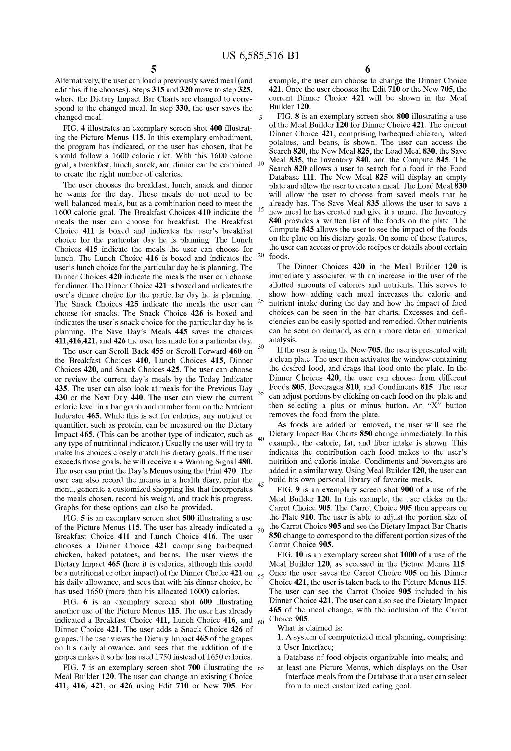5

Alternatively, the user can load a previously saved meal (and edit this if he chooses). Steps 315 and 320 move to step 325, where the Dietary Impact Bar Charts are changed to correspond to the changed meal. In step 330, the user saves the changed meal.

FIG. 4 illustrates an exemplary screen shot 400 illustrating the Picture Menus 115. In this exemplary embodiment, the program has indicated, or the user has chosen, that he should follow a 1600 calorie diet. With this 1600 calorie goal, a breakfast, lunch, snack, and dinner can be combined 10 to create the right number of calories.

The user chooses the breakfast, lunch, snack and dinner he wants for the day. These meals do not need to be well-balanced meals, but as a combination need to meet the 1600 calorie goal. The Breakfast Choices 410 indicate the meals the user can choose for breakfast. The Breakfast Choice 411 is boxed and indicates the user's breakfast choice for the particular day he is planning. The Lunch Choices 415 indicate the meals the user can choose for lunch. The Lunch Choice 416 is boxed and indicates the user's lunch choice for the particular day he is planning. The Dinner Choices 420 indicate the meals the user can choose for dinner. The Dinner Choice 421 is boxed and indicates the user's dinner choice for the particular day he is planning. show how adding each meal increases the calorie and<br>The Snack Choices  $425$  indicate the meals the user can  $25$  nutrient intake during the day and how the impac The Snack Choices 425 indicate the meals the user can choose for snacks. The Snack Choice 426 is boxed and choices can be seen in the bar charts. Excesses and defiindicates the user's snack choice for the particular day he is planning. The Save Day's Meals 445 saves the choices 411,416,421, and 426 the user has made for a particular day.

The user can Scroll Back  $455$  or Scroll Forward  $460$  on  $30$ the Breakfast Choices 410, Lunch Choices 415, Dinner Choices 420, and Snack Choices 425. The user can choose or review the current day's meals by the Today Indicator 435. The user can also look at meals for the Previous Day 430 or the Next Day 440. The user can view the current calorie level in a bar graph and number form on the Nutrient Indicator 465. While this is set for calories, any nutrient or quantifier, such as protein, can be measured on the Dietary Impact 465. (This can be another type of indicator, such as any type of nutritional indicator.) Usually the user will try to make his choices closely match his dietary goals. If the user exceeds those goals, he will receive a + Warning Signal 480. The user can print the Day's Menus using the Print 470. The user can also record the menus in a health diary, print the  $_{45}$ menu, generate a customized shopping list that incorporates the meals chosen, record his weight, and track his progress. Graphs for these options can also be provided.

FIG. 5 is an exemplary screen shot 500 illustrating a use of the Picture Menus 115. The user has already indicated a  $_{50}$ Breakfast Choice 411 and Lunch Choice 416. The user chooses a Dinner Choice 421 comprising barbequed chicken, baked potatoes, and beans. The user views the Dietary Impact 465 (here it is calories, although this could be a nutritional or other impact) of the Dinner Choice  $421$  on  $_{55}$ his daily allowance, and sees that with his dinner choice, he has used 1650 (more than his allocated 1600) calories.

FIG. 6 is an exemplary screen shot 600 illustrating another use of the Picture Menus 115. The user has already indicated a Breakfast Choice 411, Lunch Choice 416, and Dinner Choice 421. The user adds a Snack Choice 426 of grapes. The user views the Dietary Impact 465 of the grapes on his daily allowance, and sees that the addition of the grapes makes it so he has used 1750 instead of 1650 calories.

FIG. 7 is an exemplary screen shot 700 illustrating the 65 Meal Builder 120. The user can change an existing Choice 411, 416, 421, or 426 using Edit 710 or New 705. For

example, the user can choose to change the Dinner Choice 421. Once the user chooses the Edit 710 or the New 705, the current Dinner Choice 421 will be shown in the Meal Builder 120.

FIG. 8 is an exemplary screen shot 800 illustrating a use of the Meal Builder 120 for Dinner Choice 421. The current Dinner Choice 421, comprising barbequed chicken, baked potatoes, and beans, is shown. The user can access the Search 820, the New Meal 825, the Load Meal 830, the Save Meal 835, the Inventory 840, and the Compute 845. The Search 820 allows a user to search for a food in the Food Database 111. The New Meal 825 will display an empty plate and allow the user to create a meal. The Load Meal  $\frac{830}{ }$ will allow the user to choose from saved meals that he already has. The Save Meal 835 allows the user to save a <sup>15</sup> new meal he has created and give it a name. The Inventory 840 provides a written list of the foods on the plate. The Compute 845 allows the user to see the impact of the foods on the plate on his dietary goals. On some of these features, the user can access or provide recipes or details about certain 20 foods.

The Dinner Choices 420 in the Meal Builder 120 is immediately associated with an increase in the user of the allotted amounts of calories and nutrients. This serves to ciencies can be easily spotted and remedied. Other nutrients can be seen on demand, as can a more detailed numerical analysis.

If the user is using the New 705, the user is presented with a clean plate. The user then activates the window containing the desired food, and drags that food onto the plate. In the Dinner Choices 420, the user can choose from different Foods 805, Beverages 810, and Condiments 815. The user <sup>35</sup> can adjust portions by clicking on each food on the plate and then selecting a plus or minus button. An "X" button removes the food from the plate.

As foods are added or removed, the user will see the Dietary Impact Bar Charts 850 change immediately. In this example, the calorie, fat, and fiber intake is shown. This indicates the contribution each food makes to the user's nutrition and calorie intake. Condiments and beverages are added in a similar way. Using Meal Builder 120, the user can build his own personal library of favorite meals.

FIG. 9 is an exemplary screen shot 900 of a use of the Meal Builder 120. In this example, the user clicks on the Carrot Choice 905. The Carrot Choice 905 then appears on the Plate 910. The user is able to adjust the portion size of the Carrot Choice 905 and see the Dietary Impact Bar Charts 850 change to correspond to the different portion sizes of the Carrot Choice 905.

FIG. 10 is an exemplary screen shot 1000 of a use of the Meal Builder 120, as accessed in the Picture Menus 115. Once the user saves the Carrot Choice 905 on his Dinner Choice 421, the user is taken back to the Picture Menus 115. The user can see the Carrot Choice 905 included in his Dinner Choice 421. The user can also see the Dietary Impact 465 of the meal change, with the inclusion of the Carrot  $60$  Choice 905.

What is claimed is:

- 1. A system of computerized meal planning, comprising: a User Interface;
- a Database of food objects organizable into meals; and
- at least one Picture Menus, which displays on the User Interface meals from the Database that a user can select from to meet customized eating goal.